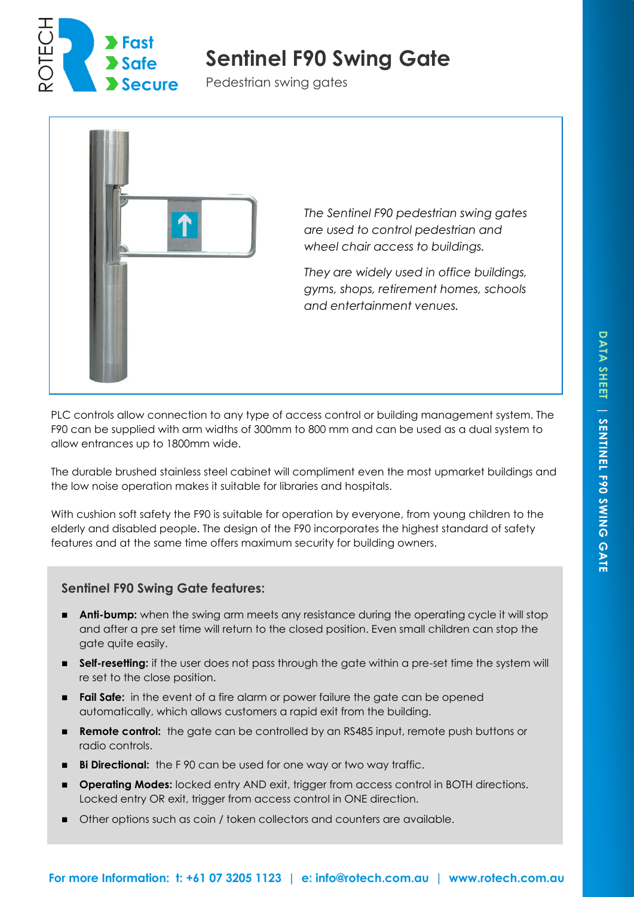

# **Sentinel F90 Swing Gate**

Pedestrian swing gates



*The Sentinel F90 pedestrian swing gates are used to control pedestrian and wheel chair access to buildings.* 

*They are widely used in office buildings, gyms, shops, retirement homes, schools and entertainment venues.*

PLC controls allow connection to any type of access control or building management system. The F90 can be supplied with arm widths of 300mm to 800 mm and can be used as a dual system to allow entrances up to 1800mm wide.

The durable brushed stainless steel cabinet will compliment even the most upmarket buildings and the low noise operation makes it suitable for libraries and hospitals.

With cushion soft safety the F90 is suitable for operation by everyone, from young children to the elderly and disabled people. The design of the F90 incorporates the highest standard of safety features and at the same time offers maximum security for building owners.

### **Sentinel F90 Swing Gate features:**

- **Anti-bump:** when the swing arm meets any resistance during the operating cycle it will stop and after a pre set time will return to the closed position. Even small children can stop the gate quite easily.
- **Self-resetting:** if the user does not pass through the gate within a pre-set time the system will re set to the close position.
- **Fail Safe:** in the event of a fire alarm or power failure the gate can be opened automatically, which allows customers a rapid exit from the building.
- **Remote control:** the gate can be controlled by an RS485 input, remote push buttons or radio controls.
- **Bi Directional:** the F 90 can be used for one way or two way traffic.
- **Operating Modes:** locked entry AND exit, trigger from access control in BOTH directions. Locked entry OR exit, trigger from access control in ONE direction.
- Other options such as coin / token collectors and counters are available.